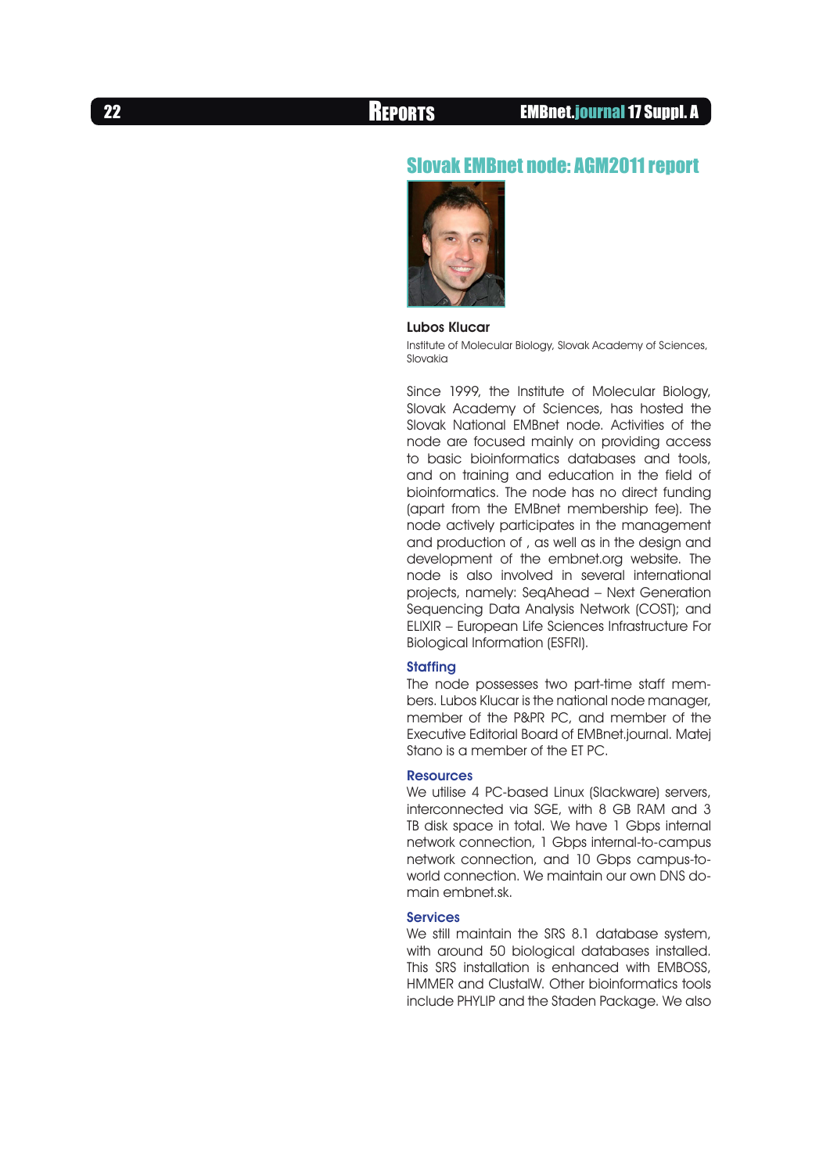## Slovak EMBnet node: AGM2011 report



Lubos Klucar

Institute of Molecular Biology, Slovak Academy of Sciences, Slovakia

Since 1999, the Institute of Molecular Biology, Slovak Academy of Sciences, has hosted the Slovak National EMBnet node. Activities of the node are focused mainly on providing access to basic bioinformatics databases and tools, and on training and education in the field of bioinformatics. The node has no direct funding (apart from the EMBnet membership fee). The node actively participates in the management and production of , as well as in the design and development of the embnet.org website. The node is also involved in several international projects, namely: SeqAhead – Next Generation Sequencing Data Analysis Network (COST); and ELIXIR – European Life Sciences Infrastructure For Biological Information (ESFRI).

#### **Staffing**

The node possesses two part-time staff members. Lubos Klucar is the national node manager, member of the P&PR PC, and member of the Executive Editorial Board of EMBnet.journal. Matej Stano is a member of the ET PC.

#### **Resources**

We utilise 4 PC-based Linux (Slackware) servers, interconnected via SGE, with 8 GB RAM and 3 TB disk space in total. We have 1 Gbps internal network connection, 1 Gbps internal-to-campus network connection, and 10 Gbps campus-toworld connection. We maintain our own DNS domain embnet.sk.

#### Services

We still maintain the SRS 8.1 database system, with around 50 biological databases installed. This SRS installation is enhanced with EMBOSS, HMMER and ClustalW. Other bioinformatics tools include PHYLIP and the Staden Package. We also